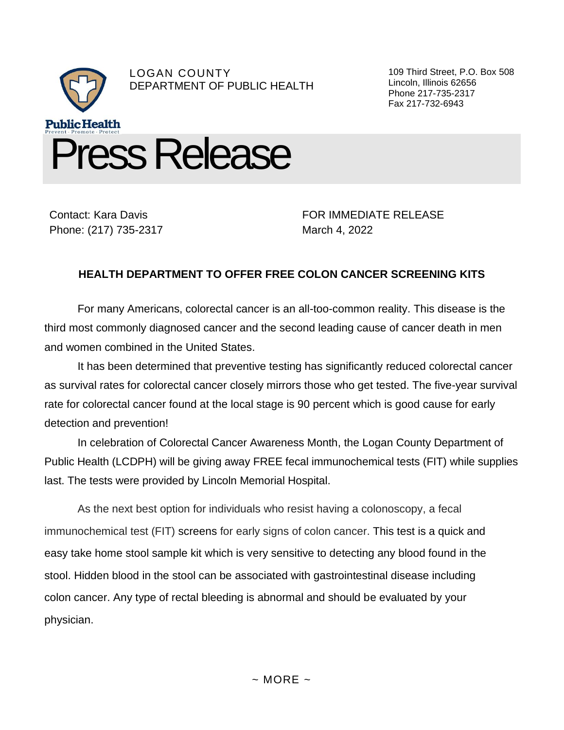

Contact: Kara Davis Phone: (217) 735-2317

FOR IMMEDIATE RELEASE March 4, 2022

## **HEALTH DEPARTMENT TO OFFER FREE COLON CANCER SCREENING KITS**

For many Americans, colorectal cancer is an all-too-common reality. This disease is the third most commonly diagnosed cancer and the second leading cause of cancer death in men and women combined in the United States.

It has been determined that preventive testing has significantly reduced colorectal cancer as survival rates for colorectal cancer closely mirrors those who get tested. The five-year survival rate for colorectal cancer found at the local stage is 90 percent which is good cause for early detection and prevention!

In celebration of Colorectal Cancer Awareness Month, the Logan County Department of Public Health (LCDPH) will be giving away FREE fecal immunochemical tests (FIT) while supplies last. The tests were provided by Lincoln Memorial Hospital.

As the next best option for individuals who resist having a colonoscopy, a fecal immunochemical test (FIT) screens for early signs of colon cancer. This test is a quick and easy take home stool sample kit which is very sensitive to detecting any blood found in the stool. Hidden blood in the stool can be associated with gastrointestinal disease including colon cancer. Any type of rectal bleeding is abnormal and should be evaluated by your physician.

109 Third Street, P.O. Box 508 Lincoln, Illinois 62656 Phone 217-735-2317 Fax 217-732-6943